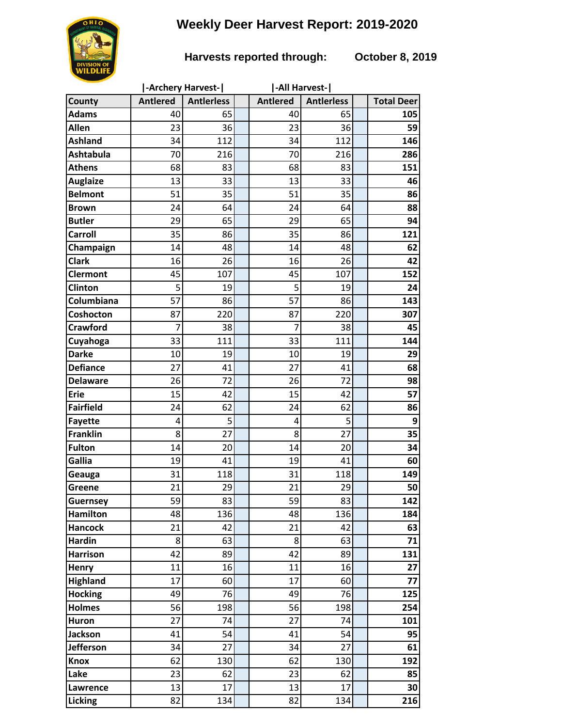## **Weekly Deer Harvest Report: 2019-2020**



## **Harvests reported through: October 8, 2019**

|                  | -Archery Harvest- |                   |  | -All Harvest-   |                   |  |                   |
|------------------|-------------------|-------------------|--|-----------------|-------------------|--|-------------------|
| County           | <b>Antlered</b>   | <b>Antierless</b> |  | <b>Antlered</b> | <b>Antlerless</b> |  | <b>Total Deer</b> |
| <b>Adams</b>     | 40                | 65                |  | 40              | 65                |  | 105               |
| <b>Allen</b>     | 23                | 36                |  | 23              | 36                |  | 59                |
| <b>Ashland</b>   | 34                | 112               |  | 34              | 112               |  | 146               |
| Ashtabula        | 70                | 216               |  | 70              | 216               |  | 286               |
| <b>Athens</b>    | 68                | 83                |  | 68              | 83                |  | 151               |
| <b>Auglaize</b>  | 13                | 33                |  | 13              | 33                |  | 46                |
| <b>Belmont</b>   | 51                | 35                |  | 51              | 35                |  | 86                |
| <b>Brown</b>     | 24                | 64                |  | 24              | 64                |  | 88                |
| <b>Butler</b>    | 29                | 65                |  | 29              | 65                |  | 94                |
| <b>Carroll</b>   | 35                | 86                |  | 35              | 86                |  | 121               |
| Champaign        | 14                | 48                |  | 14              | 48                |  | 62                |
| <b>Clark</b>     | 16                | 26                |  | 16              | 26                |  | 42                |
| <b>Clermont</b>  | 45                | 107               |  | 45              | 107               |  | 152               |
| Clinton          | 5                 | 19                |  | 5               | 19                |  | 24                |
| Columbiana       | 57                | 86                |  | 57              | 86                |  | 143               |
| Coshocton        | 87                | 220               |  | 87              | 220               |  | 307               |
| <b>Crawford</b>  | 7                 | 38                |  | $\overline{7}$  | 38                |  | 45                |
| Cuyahoga         | 33                | 111               |  | 33              | 111               |  | 144               |
| <b>Darke</b>     | 10                | 19                |  | 10              | 19                |  | 29                |
| <b>Defiance</b>  | 27                | 41                |  | 27              | 41                |  | 68                |
| <b>Delaware</b>  | 26                | 72                |  | 26              | 72                |  | 98                |
| <b>Erie</b>      | 15                | 42                |  | 15              | 42                |  | 57                |
| <b>Fairfield</b> | 24                | 62                |  | 24              | 62                |  | 86                |
| <b>Fayette</b>   | 4                 | 5                 |  | 4               | 5                 |  | 9                 |
| <b>Franklin</b>  | 8                 | 27                |  | 8               | 27                |  | 35                |
| <b>Fulton</b>    | 14                | 20                |  | 14              | 20                |  | 34                |
| Gallia           | 19                | 41                |  | 19              | 41                |  | 60                |
| Geauga           | 31                | 118               |  | 31              | 118               |  | 149               |
| Greene           | 21                | 29                |  | 21              | 29                |  | 50 <sup>1</sup>   |
| <b>Guernsey</b>  | 59                | 83                |  | 59              | 83                |  | 142               |
| <b>Hamilton</b>  | 48                | 136               |  | 48              | 136               |  | 184               |
| <b>Hancock</b>   | 21                | 42                |  | 21              | 42                |  | 63                |
| <b>Hardin</b>    | 8                 | 63                |  | 8               | 63                |  | 71                |
| <b>Harrison</b>  | 42                | 89                |  | 42              | 89                |  | 131               |
| Henry            | 11                | 16                |  | 11              | 16                |  | 27                |
| <b>Highland</b>  | 17                | 60                |  | 17              | 60                |  | 77                |
| <b>Hocking</b>   | 49                | 76                |  | 49              | 76                |  | 125               |
| <b>Holmes</b>    | 56                | 198               |  | 56              | 198               |  | 254               |
| Huron            | 27                | 74                |  | 27              | 74                |  | 101               |
| Jackson          | 41                | 54                |  | 41              | 54                |  | 95                |
| <b>Jefferson</b> | 34                | 27                |  | 34              | 27                |  | 61                |
| <b>Knox</b>      | 62                | 130               |  | 62              | 130               |  | 192               |
| Lake             | 23                | 62                |  | 23              | 62                |  | 85                |
| Lawrence         | 13                | 17                |  | 13              | 17                |  | 30                |
| Licking          | 82                | 134               |  | 82              | 134               |  | 216               |